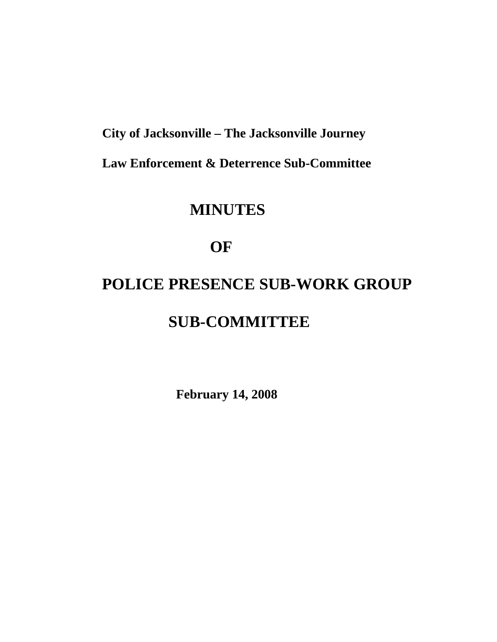**City of Jacksonville – The Jacksonville Journey** 

 **Law Enforcement & Deterrence Sub-Committee** 

## **MINUTES**

## **OF**

# **POLICE PRESENCE SUB-WORK GROUP SUB-COMMITTEE**

 **February 14, 2008**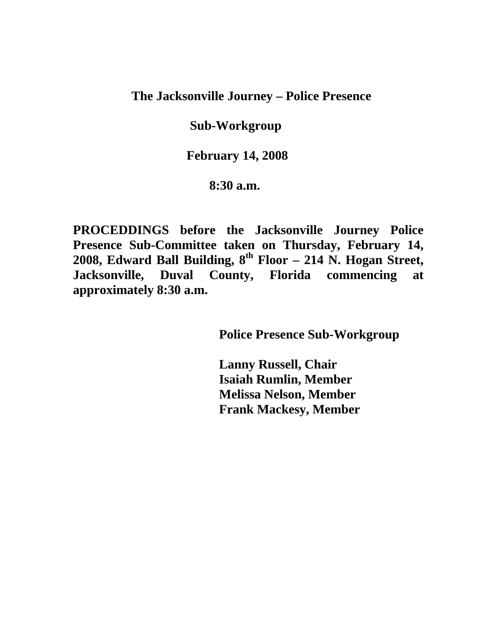**The Jacksonville Journey – Police Presence** 

 **Sub-Workgroup** 

 **February 14, 2008** 

 **8:30 a.m.** 

**PROCEDDINGS before the Jacksonville Journey Police Presence Sub-Committee taken on Thursday, February 14, 2008, Edward Ball Building, 8th Floor – 214 N. Hogan Street, Jacksonville, Duval County, Florida commencing at approximately 8:30 a.m.** 

 **Police Presence Sub-Workgroup** 

 **Lanny Russell, Chair Isaiah Rumlin, Member Melissa Nelson, Member Frank Mackesy, Member**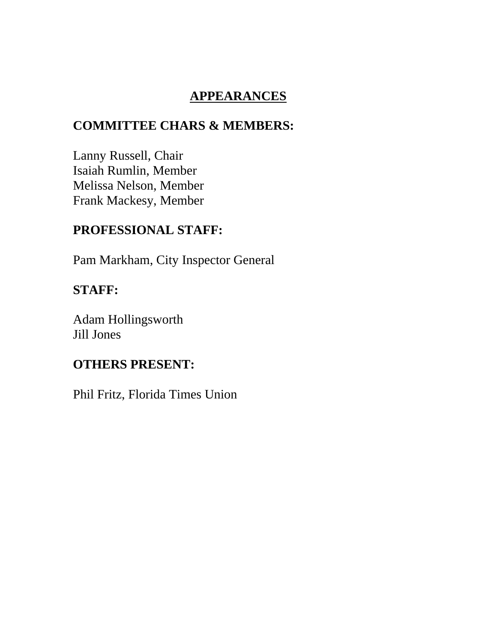#### **APPEARANCES**

#### **COMMITTEE CHARS & MEMBERS:**

Lanny Russell, Chair Isaiah Rumlin, Member Melissa Nelson, Member Frank Mackesy, Member

### **PROFESSIONAL STAFF:**

Pam Markham, City Inspector General

#### **STAFF:**

Adam Hollingsworth Jill Jones

#### **OTHERS PRESENT:**

Phil Fritz, Florida Times Union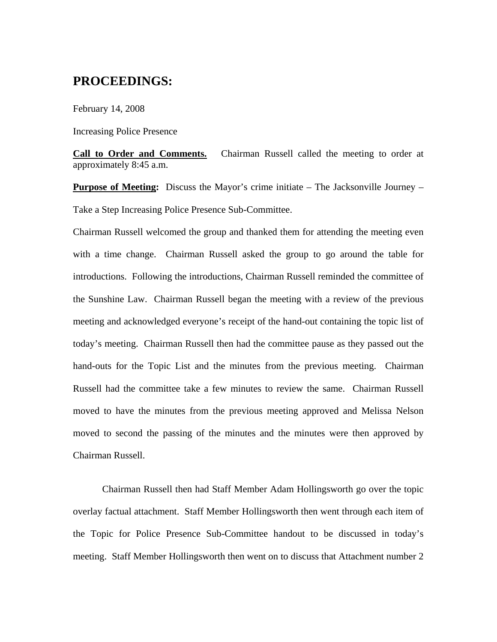#### **PROCEEDINGS:**

February 14, 2008

Increasing Police Presence

**Call to Order and Comments.** Chairman Russell called the meeting to order at approximately 8:45 a.m.

**Purpose of Meeting:** Discuss the Mayor's crime initiate – The Jacksonville Journey – Take a Step Increasing Police Presence Sub-Committee.

Chairman Russell welcomed the group and thanked them for attending the meeting even with a time change. Chairman Russell asked the group to go around the table for introductions. Following the introductions, Chairman Russell reminded the committee of the Sunshine Law. Chairman Russell began the meeting with a review of the previous meeting and acknowledged everyone's receipt of the hand-out containing the topic list of today's meeting. Chairman Russell then had the committee pause as they passed out the hand-outs for the Topic List and the minutes from the previous meeting. Chairman Russell had the committee take a few minutes to review the same. Chairman Russell moved to have the minutes from the previous meeting approved and Melissa Nelson moved to second the passing of the minutes and the minutes were then approved by Chairman Russell.

 Chairman Russell then had Staff Member Adam Hollingsworth go over the topic overlay factual attachment. Staff Member Hollingsworth then went through each item of the Topic for Police Presence Sub-Committee handout to be discussed in today's meeting. Staff Member Hollingsworth then went on to discuss that Attachment number 2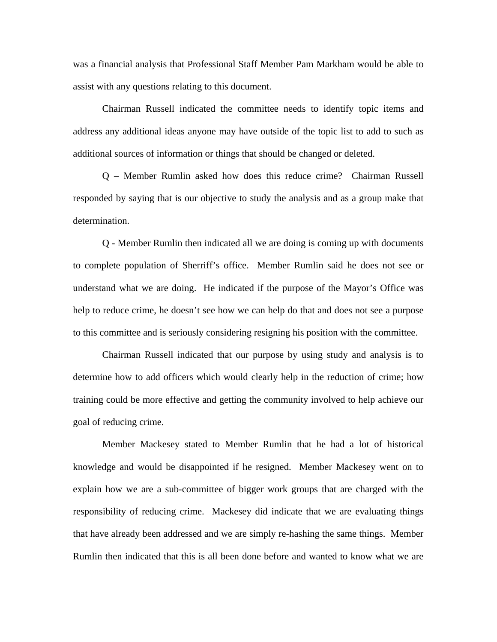was a financial analysis that Professional Staff Member Pam Markham would be able to assist with any questions relating to this document.

 Chairman Russell indicated the committee needs to identify topic items and address any additional ideas anyone may have outside of the topic list to add to such as additional sources of information or things that should be changed or deleted.

 Q – Member Rumlin asked how does this reduce crime? Chairman Russell responded by saying that is our objective to study the analysis and as a group make that determination.

Q - Member Rumlin then indicated all we are doing is coming up with documents to complete population of Sherriff's office. Member Rumlin said he does not see or understand what we are doing. He indicated if the purpose of the Mayor's Office was help to reduce crime, he doesn't see how we can help do that and does not see a purpose to this committee and is seriously considering resigning his position with the committee.

 Chairman Russell indicated that our purpose by using study and analysis is to determine how to add officers which would clearly help in the reduction of crime; how training could be more effective and getting the community involved to help achieve our goal of reducing crime.

 Member Mackesey stated to Member Rumlin that he had a lot of historical knowledge and would be disappointed if he resigned. Member Mackesey went on to explain how we are a sub-committee of bigger work groups that are charged with the responsibility of reducing crime. Mackesey did indicate that we are evaluating things that have already been addressed and we are simply re-hashing the same things. Member Rumlin then indicated that this is all been done before and wanted to know what we are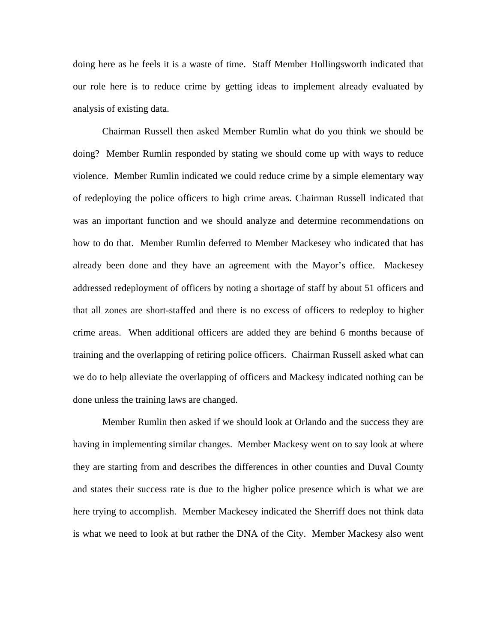doing here as he feels it is a waste of time. Staff Member Hollingsworth indicated that our role here is to reduce crime by getting ideas to implement already evaluated by analysis of existing data.

 Chairman Russell then asked Member Rumlin what do you think we should be doing? Member Rumlin responded by stating we should come up with ways to reduce violence. Member Rumlin indicated we could reduce crime by a simple elementary way of redeploying the police officers to high crime areas. Chairman Russell indicated that was an important function and we should analyze and determine recommendations on how to do that. Member Rumlin deferred to Member Mackesey who indicated that has already been done and they have an agreement with the Mayor's office. Mackesey addressed redeployment of officers by noting a shortage of staff by about 51 officers and that all zones are short-staffed and there is no excess of officers to redeploy to higher crime areas. When additional officers are added they are behind 6 months because of training and the overlapping of retiring police officers. Chairman Russell asked what can we do to help alleviate the overlapping of officers and Mackesy indicated nothing can be done unless the training laws are changed.

 Member Rumlin then asked if we should look at Orlando and the success they are having in implementing similar changes. Member Mackesy went on to say look at where they are starting from and describes the differences in other counties and Duval County and states their success rate is due to the higher police presence which is what we are here trying to accomplish. Member Mackesey indicated the Sherriff does not think data is what we need to look at but rather the DNA of the City. Member Mackesy also went